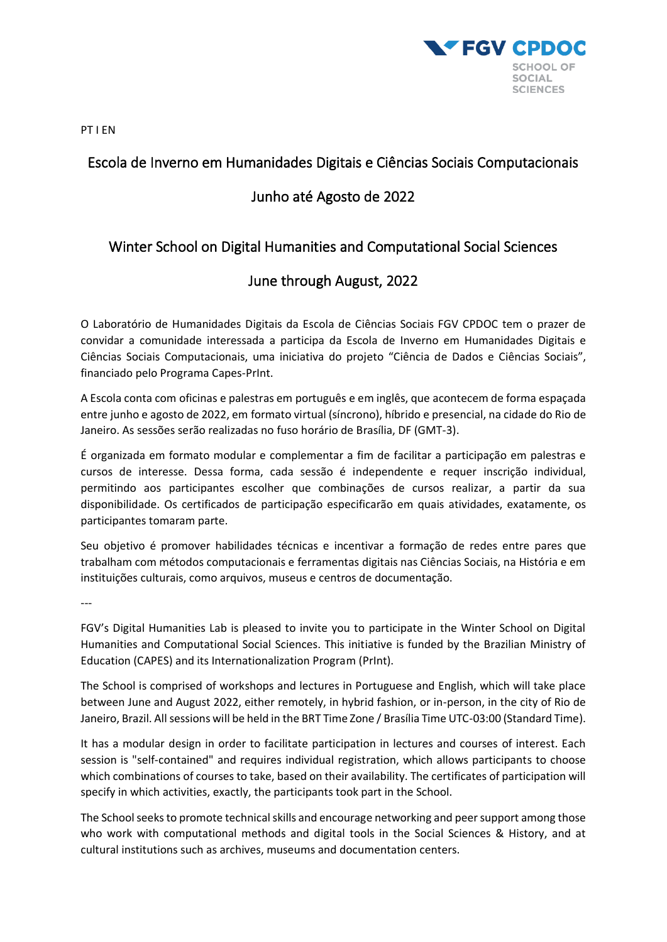

PT I EN

# Escola de Inverno em Humanidades Digitais e Ciências Sociais Computacionais

# Junho até Agosto de 2022

# Winter School on Digital Humanities and Computational Social Sciences

## June through August, 2022

O Laboratório de Humanidades Digitais da Escola de Ciências Sociais FGV CPDOC tem o prazer de convidar a comunidade interessada a participa da Escola de Inverno em Humanidades Digitais e Ciências Sociais Computacionais, uma iniciativa do projeto "Ciência de Dados e Ciências Sociais", financiado pelo Programa Capes-PrInt.

A Escola conta com oficinas e palestras em português e em inglês, que acontecem de forma espaçada entre junho e agosto de 2022, em formato virtual (síncrono), híbrido e presencial, na cidade do Rio de Janeiro. As sessões serão realizadas no fuso horário de Brasília, DF (GMT-3).

É organizada em formato modular e complementar a fim de facilitar a participação em palestras e cursos de interesse. Dessa forma, cada sessão é independente e requer inscrição individual, permitindo aos participantes escolher que combinações de cursos realizar, a partir da sua disponibilidade. Os certificados de participação especificarão em quais atividades, exatamente, os participantes tomaram parte.

Seu objetivo é promover habilidades técnicas e incentivar a formação de redes entre pares que trabalham com métodos computacionais e ferramentas digitais nas Ciências Sociais, na História e em instituições culturais, como arquivos, museus e centros de documentação.

---

FGV's Digital Humanities Lab is pleased to invite you to participate in the Winter School on Digital Humanities and Computational Social Sciences. This initiative is funded by the Brazilian Ministry of Education (CAPES) and its Internationalization Program (PrInt).

The School is comprised of workshops and lectures in Portuguese and English, which will take place between June and August 2022, either remotely, in hybrid fashion, or in-person, in the city of Rio de Janeiro, Brazil. All sessions will be held in the BRT Time Zone / Brasília Time UTC-03:00 (Standard Time).

It has a modular design in order to facilitate participation in lectures and courses of interest. Each session is "self-contained" and requires individual registration, which allows participants to choose which combinations of courses to take, based on their availability. The certificates of participation will specify in which activities, exactly, the participants took part in the School.

The School seeks to promote technical skills and encourage networking and peer support among those who work with computational methods and digital tools in the Social Sciences & History, and at cultural institutions such as archives, museums and documentation centers.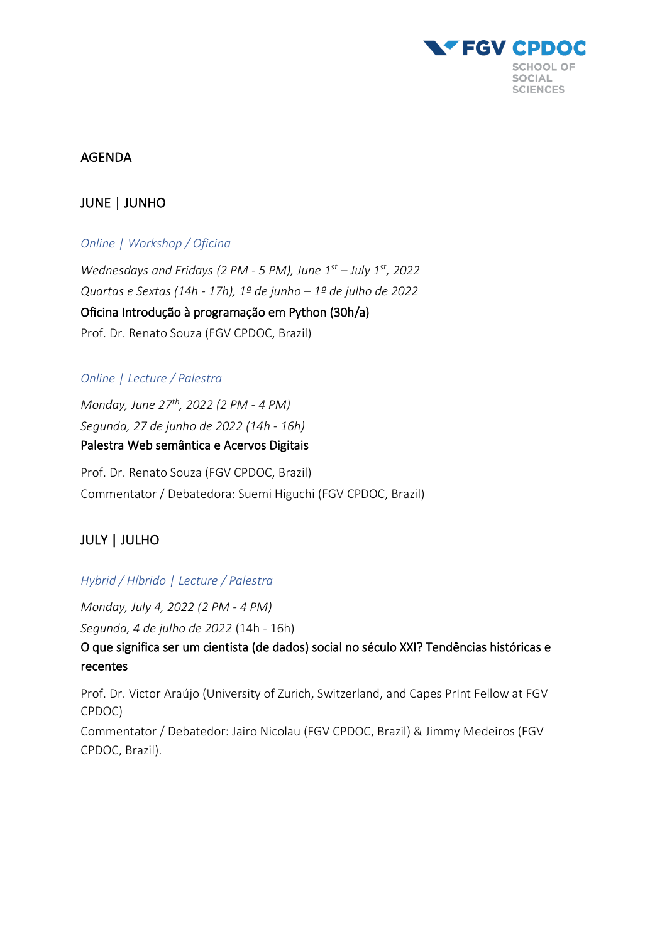

### AGENDA

## JUNE | JUNHO

### *Online | Workshop / Oficina*

*Wednesdays and Fridays (2 PM - 5 PM), June 1st – July 1st, 2022 Quartas e Sextas (14h - 17h), 1º de junho – 1º de julho de 2022* Oficina Introdução à programação em Python (30h/a) Prof. Dr. Renato Souza (FGV CPDOC, Brazil)

#### *Online | Lecture / Palestra*

*Monday, June 27th, 2022 (2 PM - 4 PM) Segunda, 27 de junho de 2022 (14h - 16h)* Palestra Web semântica e Acervos Digitais

Prof. Dr. Renato Souza (FGV CPDOC, Brazil) Commentator / Debatedora: Suemi Higuchi (FGV CPDOC, Brazil)

## JULY | JULHO

#### *Hybrid / Híbrido | Lecture / Palestra*

*Monday, July 4, 2022 (2 PM - 4 PM)*

*Segunda, 4 de julho de 2022* (14h - 16h)

O que significa ser um cientista (de dados) social no século XXI? Tendências históricas e recentes

Prof. Dr. Victor Araújo (University of Zurich, Switzerland, and Capes PrInt Fellow at FGV CPDOC)

Commentator / Debatedor: Jairo Nicolau (FGV CPDOC, Brazil) & Jimmy Medeiros (FGV CPDOC, Brazil).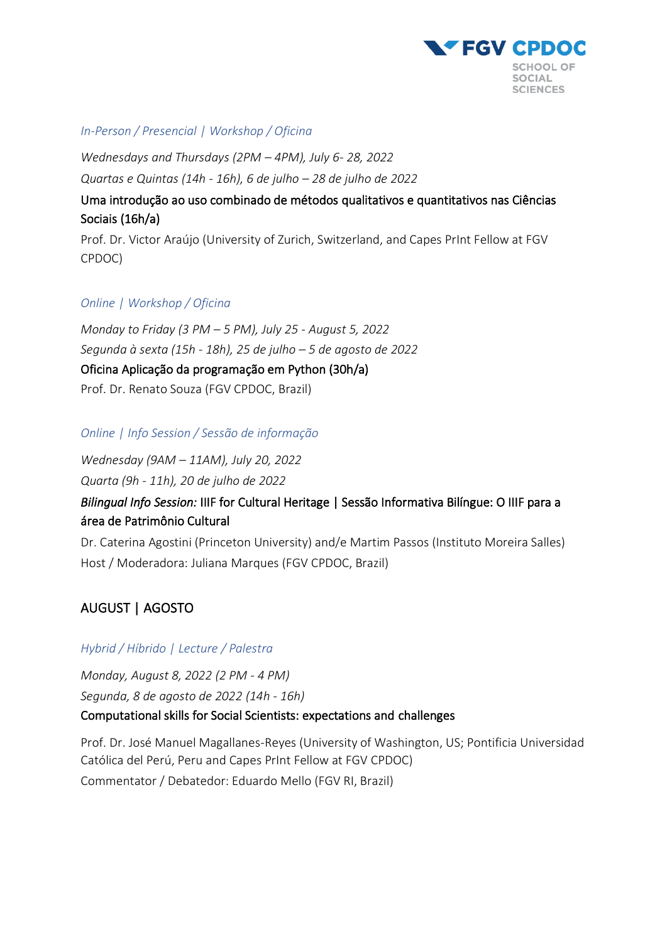

#### *In-Person / Presencial | Workshop / Oficina*

*Wednesdays and Thursdays (2PM – 4PM), July 6- 28, 2022 Quartas e Quintas (14h - 16h), 6 de julho – 28 de julho de 2022*

Uma introdução ao uso combinado de métodos qualitativos e quantitativos nas Ciências Sociais (16h/a)

Prof. Dr. Victor Araújo (University of Zurich, Switzerland, and Capes PrInt Fellow at FGV CPDOC)

#### *Online | Workshop / Oficina*

*Monday to Friday (3 PM – 5 PM), July 25 - August 5, 2022 Segunda à sexta (15h - 18h), 25 de julho – 5 de agosto de 2022* Oficina Aplicação da programação em Python (30h/a) Prof. Dr. Renato Souza (FGV CPDOC, Brazil)

#### *Online | Info Session / Sessão de informação*

*Wednesday (9AM – 11AM), July 20, 2022 Quarta (9h - 11h), 20 de julho de 2022*

# *Bilingual Info Session:* IIIF for Cultural Heritage | Sessão Informativa Bilíngue: O IIIF para a área de Patrimônio Cultural

Dr. Caterina Agostini (Princeton University) and/e Martim Passos (Instituto Moreira Salles) Host / Moderadora: Juliana Marques (FGV CPDOC, Brazil)

# AUGUST | AGOSTO

### *Hybrid / Híbrido | Lecture / Palestra*

*Monday, August 8, 2022 (2 PM - 4 PM) Segunda, 8 de agosto de 2022 (14h - 16h)* Computational skills for Social Scientists: expectations and challenges

Prof. Dr. José Manuel Magallanes-Reyes (University of Washington, US; Pontificia Universidad Católica del Perú, Peru and Capes PrInt Fellow at FGV CPDOC) Commentator / Debatedor: Eduardo Mello (FGV RI, Brazil)